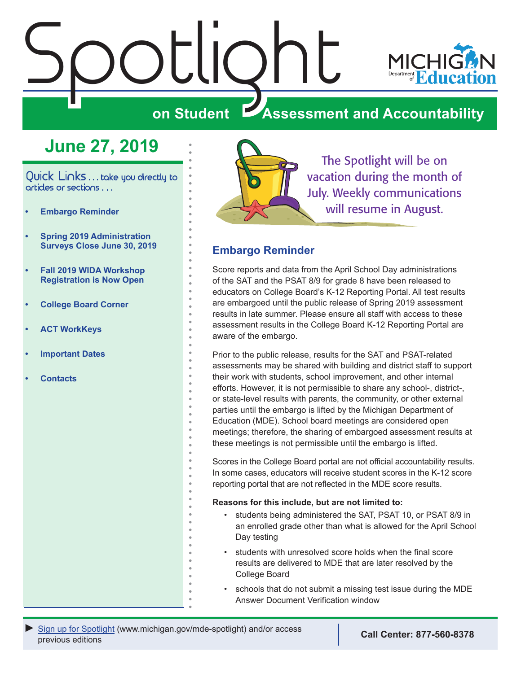# <span id="page-0-0"></span>Spotlight



## **on Student Assessment and Accountability**

# **June 27, 2019**

Quick Links . . . take you directly to articles or sections . . .

- **• Embargo Reminder**
- **• [Spring 2019 Administration](#page-1-0)  [Surveys Close June 30, 2019](#page-1-0)**
- **• [Fall 2019 WIDA Workshop](#page-1-0)  [Registration is Now Open](#page-1-0)**
- **• [College Board Corner](#page-3-0)**
- **• [ACT WorkKeys](#page-5-0)**
- **• [Important Dates](#page-6-0)**
- **• [Contacts](#page-7-0)**



The Spotlight will be on vacation during the month of July. Weekly communications will resume in August.

#### **Embargo Reminder**

Score reports and data from the April School Day administrations of the SAT and the PSAT 8/9 for grade 8 have been released to educators on College Board's K-12 Reporting Portal. All test results are embargoed until the public release of Spring 2019 assessment results in late summer. Please ensure all staff with access to these assessment results in the College Board K-12 Reporting Portal are aware of the embargo.

Prior to the public release, results for the SAT and PSAT-related assessments may be shared with building and district staff to support their work with students, school improvement, and other internal efforts. However, it is not permissible to share any school-, district-, or state-level results with parents, the community, or other external parties until the embargo is lifted by the Michigan Department of Education (MDE). School board meetings are considered open meetings; therefore, the sharing of embargoed assessment results at these meetings is not permissible until the embargo is lifted.

Scores in the College Board portal are not official accountability results. In some cases, educators will receive student scores in the K-12 score reporting portal that are not reflected in the MDE score results.

#### **Reasons for this include, but are not limited to:**

- students being administered the SAT, PSAT 10, or PSAT 8/9 in an enrolled grade other than what is allowed for the April School Day testing
- students with unresolved score holds when the final score results are delivered to MDE that are later resolved by the College Board
- schools that do not submit a missing test issue during the MDE Answer Document Verification window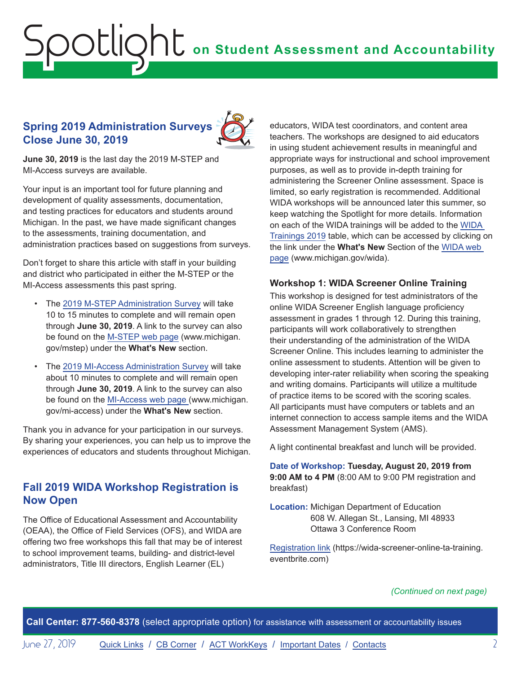#### <span id="page-1-0"></span>**Spring 2019 Administration Surveys Close June 30, 2019**



**June 30, 2019** is the last day the 2019 M-STEP and MI-Access surveys are available.

Your input is an important tool for future planning and development of quality assessments, documentation, and testing practices for educators and students around Michigan. In the past, we have made significant changes to the assessments, training documentation, and administration practices based on suggestions from surveys.

Don't forget to share this article with staff in your building and district who participated in either the M-STEP or the MI-Access assessments this past spring.

- The [2019 M-STEP Administration Survey](https://www.surveymonkey.com/r/Spring2019MSTEPAdministrationSurvey) will take 10 to 15 minutes to complete and will remain open through **June 30, 2019**. A link to the survey can also be found on the [M-STEP web page](www.michigan.gov/mstep) (www.michigan. gov/mstep) under the **What's New** section.
- The [2019 MI-Access Administration Survey](https://www.surveymonkey.com/r/Spring2019MIACCESSAdministrationSurvey) will take about 10 minutes to complete and will remain open through **June 30, 2019**. A link to the survey can also be found on the [MI-Access web page](http://www.michigan.gov/mi-access) (www.michigan. gov/mi-access) under the **What's New** section.

Thank you in advance for your participation in our surveys. By sharing your experiences, you can help us to improve the experiences of educators and students throughout Michigan.

#### **Fall 2019 WIDA Workshop Registration is Now Open**

The Office of Educational Assessment and Accountability (OEAA), the Office of Field Services (OFS), and WIDA are offering two free workshops this fall that may be of interest to school improvement teams, building- and district-level administrators, Title III directors, English Learner (EL)

educators, WIDA test coordinators, and content area teachers. The workshops are designed to aid educators in using student achievement results in meaningful and appropriate ways for instructional and school improvement purposes, as well as to provide in-depth training for administering the Screener Online assessment. Space is limited, so early registration is recommended. Additional WIDA workshops will be announced later this summer, so keep watching the Spotlight for more details. Information on each of the WIDA trainings will be added to the [WIDA](https://www.michigan.gov/mde/0,4615,7-140-22709_40192-500658--,00.html)  [Trainings 2019](https://www.michigan.gov/mde/0,4615,7-140-22709_40192-500658--,00.html) table, which can be accessed by clicking on the link under the **What's New** Section of the [WIDA web](www.michigan.gov/wida)  [page](www.michigan.gov/wida) (www.michigan.gov/wida).

#### **Workshop 1: WIDA Screener Online Training**

This workshop is designed for test administrators of the online WIDA Screener English language proficiency assessment in grades 1 through 12. During this training, participants will work collaboratively to strengthen their understanding of the administration of the WIDA Screener Online. This includes learning to administer the online assessment to students. Attention will be given to developing inter-rater reliability when scoring the speaking and writing domains. Participants will utilize a multitude of practice items to be scored with the scoring scales. All participants must have computers or tablets and an internet connection to access sample items and the WIDA Assessment Management System (AMS).

A light continental breakfast and lunch will be provided.

**Date of Workshop: Tuesday, August 20, 2019 from 9:00 AM to 4 PM** (8:00 AM to 9:00 PM registration and breakfast)

**Location:** Michigan Department of Education 608 W. Allegan St., Lansing, MI 48933 Ottawa 3 Conference Room

[Registration link](https://wida-screener-online-ta-training.eventbrite.com) (https://wida-screener-online-ta-training. eventbrite.com)

#### *(Continued on next page)*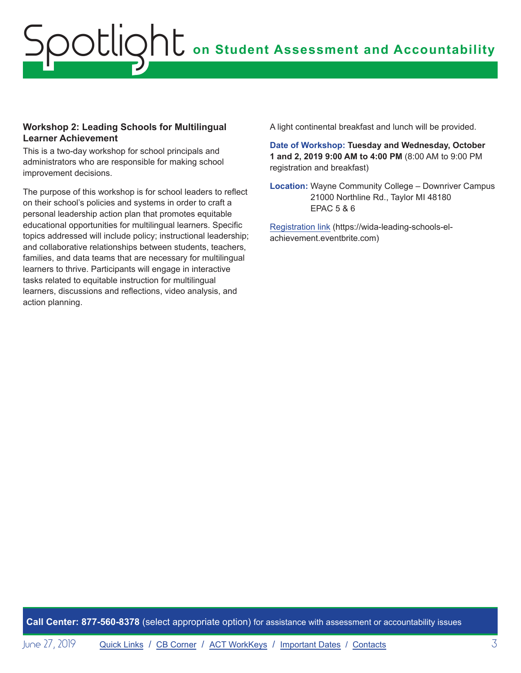#### **Workshop 2: Leading Schools for Multilingual Learner Achievement**

This is a two-day workshop for school principals and administrators who are responsible for making school improvement decisions.

The purpose of this workshop is for school leaders to reflect on their school's policies and systems in order to craft a personal leadership action plan that promotes equitable educational opportunities for multilingual learners. Specific topics addressed will include policy; instructional leadership; and collaborative relationships between students, teachers, families, and data teams that are necessary for multilingual learners to thrive. Participants will engage in interactive tasks related to equitable instruction for multilingual learners, discussions and reflections, video analysis, and action planning.

A light continental breakfast and lunch will be provided.

**Date of Workshop: Tuesday and Wednesday, October 1 and 2, 2019 9:00 AM to 4:00 PM** (8:00 AM to 9:00 PM registration and breakfast)

**Location:** Wayne Community College – Downriver Campus 21000 Northline Rd., Taylor MI 48180 EPAC 5 & 6

[Registration link](https://wida-leading-schools-el-achievement.eventbrite.com) (https://wida-leading-schools-elachievement.eventbrite.com)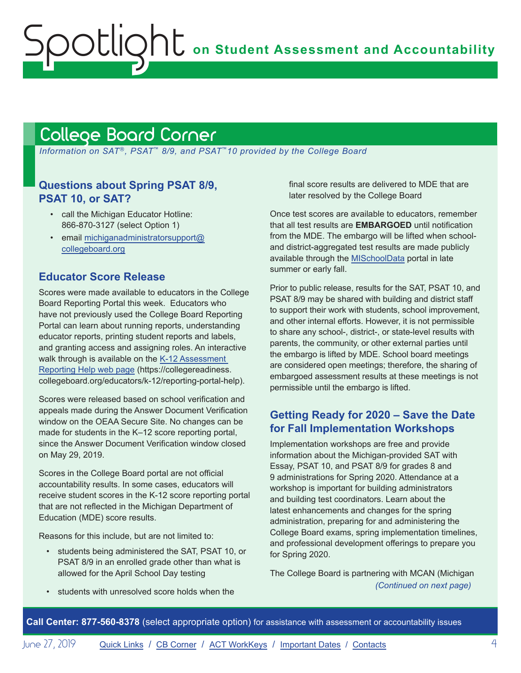# <span id="page-3-1"></span><span id="page-3-0"></span>College Board Corner

 *Information on SAT*®*, PSAT*™ *8/9, and PSAT*™*10 provided by the College Board*

#### **Questions about Spring PSAT 8/9, PSAT 10, or SAT?**

- call the Michigan Educator Hotline: 866-870-3127 (select Option 1)
- email [michiganadministratorsupport@](mailto:michiganadministratorsupport%40collegeboard.org?subject=) [collegeboard.org](mailto:michiganadministratorsupport%40collegeboard.org?subject=)

#### **Educator Score Release**

Scores were made available to educators in the College Board Reporting Portal this week. Educators who have not previously used the College Board Reporting Portal can learn about running reports, understanding educator reports, printing student reports and labels, and granting access and assigning roles. An interactive walk through is available on the [K-12 Assessment](https://collegereadiness.collegeboard.org/educators/k-12/reporting-portal-help)  [Reporting Help web page](https://collegereadiness.collegeboard.org/educators/k-12/reporting-portal-help) (https://collegereadiness. collegeboard.org/educators/k-12/reporting-portal-help).

Scores were released based on school verification and appeals made during the Answer Document Verification window on the OEAA Secure Site. No changes can be made for students in the K–12 score reporting portal, since the Answer Document Verification window closed on May 29, 2019.

Scores in the College Board portal are not official accountability results. In some cases, educators will receive student scores in the K-12 score reporting portal that are not reflected in the Michigan Department of Education (MDE) score results.

Reasons for this include, but are not limited to:

• students being administered the SAT, PSAT 10, or PSAT 8/9 in an enrolled grade other than what is allowed for the April School Day testing

final score results are delivered to MDE that are later resolved by the College Board

Once test scores are available to educators, remember that all test results are **EMBARGOED** until notification from the MDE. The embargo will be lifted when schooland district-aggregated test results are made publicly available through the [MISchoolData](http://www.mischooldata.org) portal in late summer or early fall.

Prior to public release, results for the SAT, PSAT 10, and PSAT 8/9 may be shared with building and district staff to support their work with students, school improvement, and other internal efforts. However, it is not permissible to share any school-, district-, or state-level results with parents, the community, or other external parties until the embargo is lifted by MDE. School board meetings are considered open meetings; therefore, the sharing of embargoed assessment results at these meetings is not permissible until the embargo is lifted.

#### **Getting Ready for 2020 – Save the Date for Fall Implementation Workshops**

Implementation workshops are free and provide information about the Michigan-provided SAT with Essay, PSAT 10, and PSAT 8/9 for grades 8 and 9 administrations for Spring 2020. Attendance at a workshop is important for building administrators and building test coordinators. Learn about the latest enhancements and changes for the spring administration, preparing for and administering the College Board exams, spring implementation timelines, and professional development offerings to prepare you for Spring 2020.

The College Board is partnering with MCAN (Michigan *(Continued on next page)*

students with unresolved score holds when the

**Call Center: 877-560-8378** (select appropriate option) for assistance with assessment or accountability issues

June 27, 2019 [Quick Links](#page-0-0) / [CB Corner](#page-3-1) / [ACT WorkKeys](#page-5-0) / [Important Dates](#page-6-1) / [Contacts](#page-7-1) 4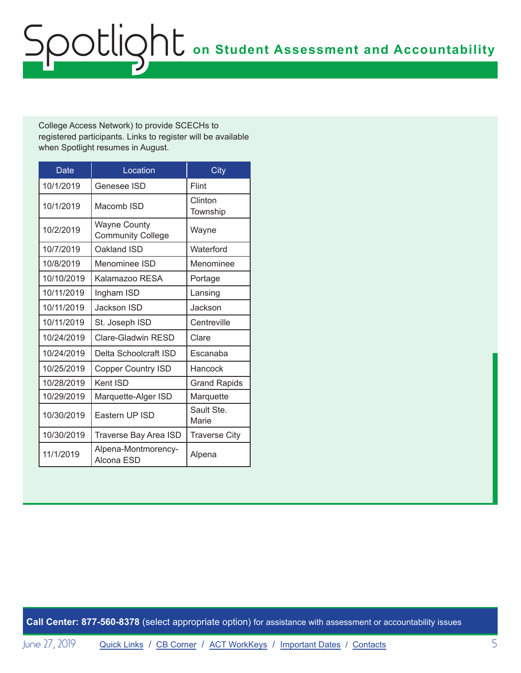College Access Network) to provide SCECHs to registered participants. Links to register will be available when Spotlight resumes in August.

| Date       | Location                                        | City                 |
|------------|-------------------------------------------------|----------------------|
| 10/1/2019  | Genesee ISD                                     | Flint                |
| 10/1/2019  | Macomb ISD                                      | Clinton<br>Township  |
| 10/2/2019  | <b>Wayne County</b><br><b>Community College</b> | Wayne                |
| 10/7/2019  | Oakland ISD                                     | Waterford            |
| 10/8/2019  | Menominee ISD                                   | Menominee            |
| 10/10/2019 | Kalamazoo RESA                                  | Portage              |
| 10/11/2019 | Ingham ISD                                      | Lansing              |
| 10/11/2019 | Jackson ISD                                     | Jackson              |
| 10/11/2019 | St. Joseph ISD                                  | Centreville          |
| 10/24/2019 | Clare-Gladwin RESD                              | Clare                |
| 10/24/2019 | Delta Schoolcraft ISD                           | Escanaba             |
| 10/25/2019 | <b>Copper Country ISD</b>                       | Hancock              |
| 10/28/2019 | Kent ISD                                        | <b>Grand Rapids</b>  |
| 10/29/2019 | Marquette-Alger ISD                             | Marquette            |
| 10/30/2019 | Eastern UP ISD                                  | Sault Ste.<br>Marie  |
| 10/30/2019 | Traverse Bay Area ISD                           | <b>Traverse City</b> |
| 11/1/2019  | Alpena-Montmorency-<br>Alcona ESD               | Alpena               |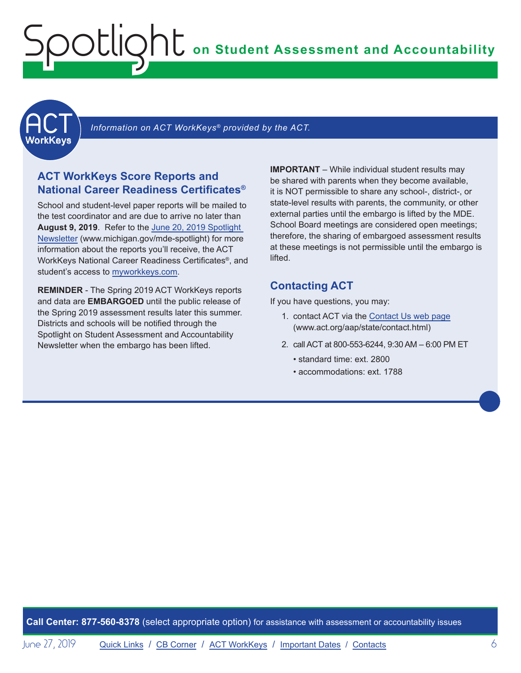<span id="page-5-0"></span>**ACT** 

Information on ACT WorkKeys<sup>®</sup> provided by the ACT.

#### **ACT WorkKeys Score Reports and National Career Readiness Certificates®**

School and student-level paper reports will be mailed to the test coordinator and are due to arrive no later than **August 9, 2019**. Refer to the [June 20, 2019 Spotlight](https://www.michigan.gov/mde/0,4615,7-140-22709_70117-280911--,00.html)  [Newsletter](https://www.michigan.gov/mde/0,4615,7-140-22709_70117-280911--,00.html) (www.michigan.gov/mde-spotlight) for more information about the reports you'll receive, the ACT WorkKeys National Career Readiness Certificates®, and student's access to [myworkkeys.com](http://www.myworkkeys.com).

**REMINDER** - The Spring 2019 ACT WorkKeys reports and data are **EMBARGOED** until the public release of the Spring 2019 assessment results later this summer. Districts and schools will be notified through the Spotlight on Student Assessment and Accountability Newsletter when the embargo has been lifted.

**IMPORTANT** – While individual student results may be shared with parents when they become available, it is NOT permissible to share any school-, district-, or state-level results with parents, the community, or other external parties until the embargo is lifted by the MDE. School Board meetings are considered open meetings; therefore, the sharing of embargoed assessment results at these meetings is not permissible until the embargo is lifted.

#### **Contacting ACT**

If you have questions, you may:

- 1. contact ACT via the [Contact Us web page](http://www.act.org/aap/state/contact.html) (<www.act.org/aap/state/contact.html>)
- 2. call ACT at 800-553-6244, 9:30 AM 6:00 PM ET
	- standard time: ext. 2800
	- accommodations: ext. 1788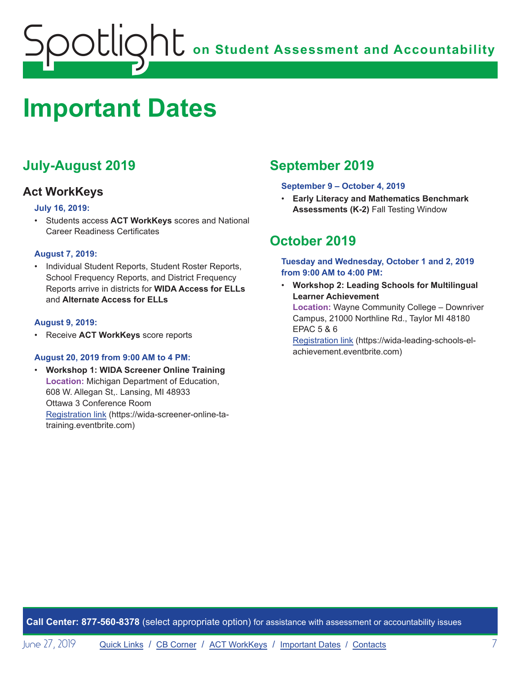# <span id="page-6-1"></span><span id="page-6-0"></span>**Important Dates**

## **July-August 2019**

#### **Act WorkKeys**

#### **July 16, 2019:**

• Students access **ACT WorkKeys** scores and National Career Readiness Certificates

#### **August 7, 2019:**

• Individual Student Reports, Student Roster Reports, School Frequency Reports, and District Frequency Reports arrive in districts for **WIDA Access for ELLs** and **Alternate Access for ELLs**

#### **August 9, 2019:**

• Receive **ACT WorkKeys** score reports

#### **August 20, 2019 from 9:00 AM to 4 PM:**

• **Workshop 1: WIDA Screener Online Training Location:** Michigan Department of Education, 608 W. Allegan St,. Lansing, MI 48933 Ottawa 3 Conference Room [Registration link](https://wida-screener-online-ta-training.eventbrite.com) (https://wida-screener-online-tatraining.eventbrite.com)

## **September 2019**

#### **September 9 – October 4, 2019**

• **Early Literacy and Mathematics Benchmark Assessments (K-2)** Fall Testing Window

## **October 2019**

**Tuesday and Wednesday, October 1 and 2, 2019 from 9:00 AM to 4:00 PM:** 

• **Workshop 2: Leading Schools for Multilingual Learner Achievement** 

**Location:** Wayne Community College – Downriver Campus, 21000 Northline Rd., Taylor MI 48180 EPAC 5 & 6

[Registration link](https://wida-leading-schools-el-achievement.eventbrite.com) (https://wida-leading-schools-elachievement.eventbrite.com)